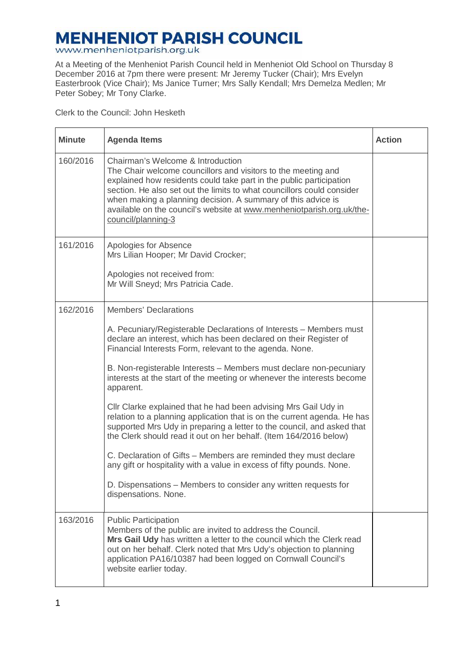## **MENHENIOT PARISH COUNCIL**

www.menheniotparish.org.uk

At a Meeting of the Menheniot Parish Council held in Menheniot Old School on Thursday 8 December 2016 at 7pm there were present: Mr Jeremy Tucker (Chair); Mrs Evelyn Easterbrook (Vice Chair); Ms Janice Turner; Mrs Sally Kendall; Mrs Demelza Medlen; Mr Peter Sobey; Mr Tony Clarke.

Clerk to the Council: John Hesketh

| <b>Minute</b> | <b>Agenda Items</b>                                                                                                                                                                                                                                                                                                                                                                                                                                                                                                                                                                                                                                                                                                                                                                                                                                                                                                                   | <b>Action</b> |
|---------------|---------------------------------------------------------------------------------------------------------------------------------------------------------------------------------------------------------------------------------------------------------------------------------------------------------------------------------------------------------------------------------------------------------------------------------------------------------------------------------------------------------------------------------------------------------------------------------------------------------------------------------------------------------------------------------------------------------------------------------------------------------------------------------------------------------------------------------------------------------------------------------------------------------------------------------------|---------------|
| 160/2016      | Chairman's Welcome & Introduction<br>The Chair welcome councillors and visitors to the meeting and<br>explained how residents could take part in the public participation<br>section. He also set out the limits to what councillors could consider<br>when making a planning decision. A summary of this advice is<br>available on the council's website at www.menheniotparish.org.uk/the-<br>council/planning-3                                                                                                                                                                                                                                                                                                                                                                                                                                                                                                                    |               |
| 161/2016      | Apologies for Absence<br>Mrs Lilian Hooper; Mr David Crocker;<br>Apologies not received from:<br>Mr Will Sneyd; Mrs Patricia Cade.                                                                                                                                                                                                                                                                                                                                                                                                                                                                                                                                                                                                                                                                                                                                                                                                    |               |
| 162/2016      | <b>Members' Declarations</b><br>A. Pecuniary/Registerable Declarations of Interests - Members must<br>declare an interest, which has been declared on their Register of<br>Financial Interests Form, relevant to the agenda. None.<br>B. Non-registerable Interests - Members must declare non-pecuniary<br>interests at the start of the meeting or whenever the interests become<br>apparent.<br>Cllr Clarke explained that he had been advising Mrs Gail Udy in<br>relation to a planning application that is on the current agenda. He has<br>supported Mrs Udy in preparing a letter to the council, and asked that<br>the Clerk should read it out on her behalf. (Item 164/2016 below)<br>C. Declaration of Gifts - Members are reminded they must declare<br>any gift or hospitality with a value in excess of fifty pounds. None.<br>D. Dispensations – Members to consider any written requests for<br>dispensations. None. |               |
| 163/2016      | <b>Public Participation</b><br>Members of the public are invited to address the Council.<br>Mrs Gail Udy has written a letter to the council which the Clerk read<br>out on her behalf. Clerk noted that Mrs Udy's objection to planning<br>application PA16/10387 had been logged on Cornwall Council's<br>website earlier today.                                                                                                                                                                                                                                                                                                                                                                                                                                                                                                                                                                                                    |               |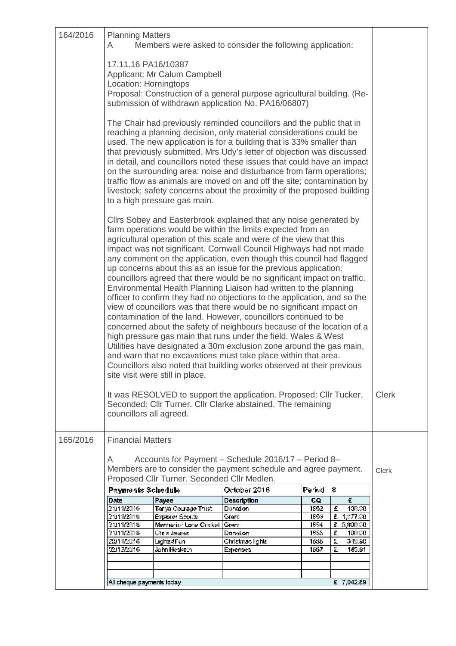| 164/2016 | <b>Planning Matters</b><br>Members were asked to consider the following application:<br>A                                                                                                                                                                                                                                                                                                                                                                                                                                                                                                                                                                                                                                                                                                                                                                                                                                                                                                                                                                                                                                                                                                                                                                                                                                                                                |                                        |                    |               |                           |  |  |  |
|----------|--------------------------------------------------------------------------------------------------------------------------------------------------------------------------------------------------------------------------------------------------------------------------------------------------------------------------------------------------------------------------------------------------------------------------------------------------------------------------------------------------------------------------------------------------------------------------------------------------------------------------------------------------------------------------------------------------------------------------------------------------------------------------------------------------------------------------------------------------------------------------------------------------------------------------------------------------------------------------------------------------------------------------------------------------------------------------------------------------------------------------------------------------------------------------------------------------------------------------------------------------------------------------------------------------------------------------------------------------------------------------|----------------------------------------|--------------------|---------------|---------------------------|--|--|--|
|          | 17.11.16 PA16/10387<br>Applicant: Mr Calum Campbell<br>Location: Horningtops                                                                                                                                                                                                                                                                                                                                                                                                                                                                                                                                                                                                                                                                                                                                                                                                                                                                                                                                                                                                                                                                                                                                                                                                                                                                                             |                                        |                    |               |                           |  |  |  |
|          | Proposal: Construction of a general purpose agricultural building. (Re-<br>submission of withdrawn application No. PA16/06807)                                                                                                                                                                                                                                                                                                                                                                                                                                                                                                                                                                                                                                                                                                                                                                                                                                                                                                                                                                                                                                                                                                                                                                                                                                           |                                        |                    |               |                           |  |  |  |
|          | The Chair had previously reminded councillors and the public that in<br>reaching a planning decision, only material considerations could be<br>used. The new application is for a building that is 33% smaller than<br>that previously submitted. Mrs Udy's letter of objection was discussed<br>in detail, and councillors noted these issues that could have an impact<br>on the surrounding area: noise and disturbance from farm operations;<br>traffic flow as animals are moved on and off the site; contamination by<br>livestock; safety concerns about the proximity of the proposed building<br>to a high pressure gas main.<br>Cllrs Sobey and Easterbrook explained that any noise generated by<br>farm operations would be within the limits expected from an<br>agricultural operation of this scale and were of the view that this<br>impact was not significant. Cornwall Council Highways had not made<br>any comment on the application, even though this council had flagged<br>up concerns about this as an issue for the previous application:<br>councillors agreed that there would be no significant impact on traffic.<br>Environmental Health Planning Liaison had written to the planning<br>officer to confirm they had no objections to the application, and so the<br>view of councillors was that there would be no significant impact on |                                        |                    |               |                           |  |  |  |
|          |                                                                                                                                                                                                                                                                                                                                                                                                                                                                                                                                                                                                                                                                                                                                                                                                                                                                                                                                                                                                                                                                                                                                                                                                                                                                                                                                                                          |                                        |                    |               |                           |  |  |  |
|          | contamination of the land. However, councillors continued to be<br>concerned about the safety of neighbours because of the location of a<br>high pressure gas main that runs under the field. Wales & West<br>Utilities have designated a 30m exclusion zone around the gas main,<br>and warn that no excavations must take place within that area.<br>Councillors also noted that building works observed at their previous<br>site visit were still in place.                                                                                                                                                                                                                                                                                                                                                                                                                                                                                                                                                                                                                                                                                                                                                                                                                                                                                                          |                                        |                    |               |                           |  |  |  |
|          | It was RESOLVED to support the application. Proposed: Cllr Tucker.<br><b>Clerk</b><br>Seconded: Cllr Turner. Cllr Clarke abstained. The remaining<br>councillors all agreed.                                                                                                                                                                                                                                                                                                                                                                                                                                                                                                                                                                                                                                                                                                                                                                                                                                                                                                                                                                                                                                                                                                                                                                                             |                                        |                    |               |                           |  |  |  |
| 165/2016 | <b>Financial Matters</b>                                                                                                                                                                                                                                                                                                                                                                                                                                                                                                                                                                                                                                                                                                                                                                                                                                                                                                                                                                                                                                                                                                                                                                                                                                                                                                                                                 |                                        |                    |               |                           |  |  |  |
|          | Accounts for Payment - Schedule 2016/17 - Period 8-<br>A<br>Members are to consider the payment schedule and agree payment.<br><b>Clerk</b><br>Proposed Cllr Turner. Seconded Cllr Medlen.                                                                                                                                                                                                                                                                                                                                                                                                                                                                                                                                                                                                                                                                                                                                                                                                                                                                                                                                                                                                                                                                                                                                                                               |                                        |                    |               |                           |  |  |  |
|          | <b>Payments Schedule</b>                                                                                                                                                                                                                                                                                                                                                                                                                                                                                                                                                                                                                                                                                                                                                                                                                                                                                                                                                                                                                                                                                                                                                                                                                                                                                                                                                 |                                        | October 2016       | Period        | 8                         |  |  |  |
|          | <b>Date</b>                                                                                                                                                                                                                                                                                                                                                                                                                                                                                                                                                                                                                                                                                                                                                                                                                                                                                                                                                                                                                                                                                                                                                                                                                                                                                                                                                              | Payee                                  | <b>Description</b> | co            | £                         |  |  |  |
|          | 21/11/2016<br>21/11/2016                                                                                                                                                                                                                                                                                                                                                                                                                                                                                                                                                                                                                                                                                                                                                                                                                                                                                                                                                                                                                                                                                                                                                                                                                                                                                                                                                 | Tanya Courage Trust<br>Explorer Scouts | Donation<br>Granti | 1652          | £<br>100.00<br>£ 1,377.00 |  |  |  |
|          | 21/11/2016                                                                                                                                                                                                                                                                                                                                                                                                                                                                                                                                                                                                                                                                                                                                                                                                                                                                                                                                                                                                                                                                                                                                                                                                                                                                                                                                                               | Menheniet Looe Cricket                 | Granti             | 1653.<br>1654 | £ 5,000.00                |  |  |  |
|          | 21/11/2016                                                                                                                                                                                                                                                                                                                                                                                                                                                                                                                                                                                                                                                                                                                                                                                                                                                                                                                                                                                                                                                                                                                                                                                                                                                                                                                                                               | Chris James                            | Donation           | 1655          | £<br>130.30               |  |  |  |
|          | 28/11/2016                                                                                                                                                                                                                                                                                                                                                                                                                                                                                                                                                                                                                                                                                                                                                                                                                                                                                                                                                                                                                                                                                                                                                                                                                                                                                                                                                               | Lights4Funi                            | Christmas lights   | 1656          | £<br>319.98               |  |  |  |
|          | 02/12/2016                                                                                                                                                                                                                                                                                                                                                                                                                                                                                                                                                                                                                                                                                                                                                                                                                                                                                                                                                                                                                                                                                                                                                                                                                                                                                                                                                               | John Hesketh                           | Expenses           | 1657          | £<br>145.91               |  |  |  |
|          |                                                                                                                                                                                                                                                                                                                                                                                                                                                                                                                                                                                                                                                                                                                                                                                                                                                                                                                                                                                                                                                                                                                                                                                                                                                                                                                                                                          |                                        |                    |               |                           |  |  |  |
|          | £ 7,042.89<br>All cheque payments today                                                                                                                                                                                                                                                                                                                                                                                                                                                                                                                                                                                                                                                                                                                                                                                                                                                                                                                                                                                                                                                                                                                                                                                                                                                                                                                                  |                                        |                    |               |                           |  |  |  |